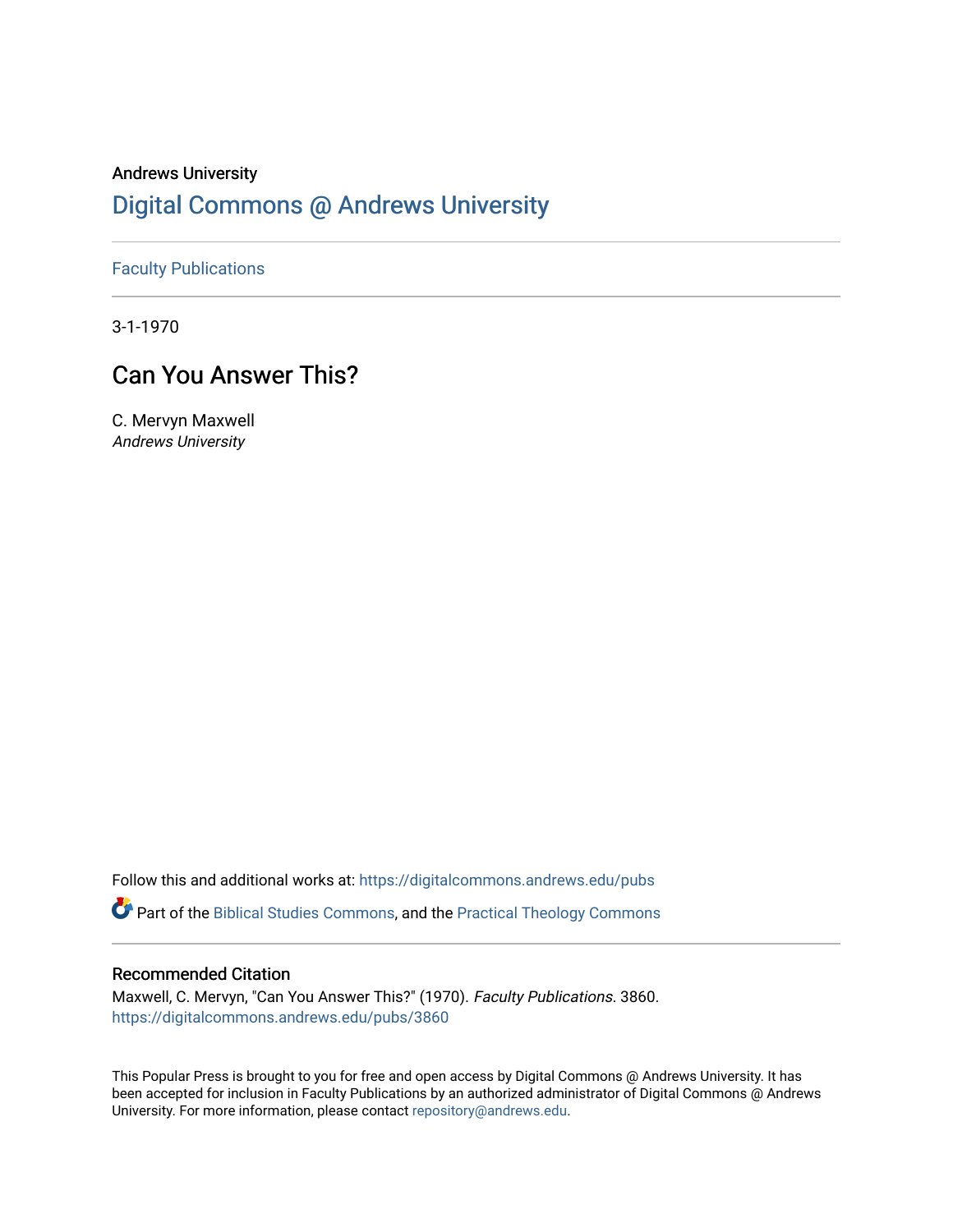# Andrews University [Digital Commons @ Andrews University](https://digitalcommons.andrews.edu/)

[Faculty Publications](https://digitalcommons.andrews.edu/pubs)

3-1-1970

# Can You Answer This?

C. Mervyn Maxwell Andrews University

Follow this and additional works at: [https://digitalcommons.andrews.edu/pubs](https://digitalcommons.andrews.edu/pubs?utm_source=digitalcommons.andrews.edu%2Fpubs%2F3860&utm_medium=PDF&utm_campaign=PDFCoverPages) 

Part of the [Biblical Studies Commons,](http://network.bepress.com/hgg/discipline/539?utm_source=digitalcommons.andrews.edu%2Fpubs%2F3860&utm_medium=PDF&utm_campaign=PDFCoverPages) and the [Practical Theology Commons](http://network.bepress.com/hgg/discipline/1186?utm_source=digitalcommons.andrews.edu%2Fpubs%2F3860&utm_medium=PDF&utm_campaign=PDFCoverPages) 

### Recommended Citation

Maxwell, C. Mervyn, "Can You Answer This?" (1970). Faculty Publications. 3860. [https://digitalcommons.andrews.edu/pubs/3860](https://digitalcommons.andrews.edu/pubs/3860?utm_source=digitalcommons.andrews.edu%2Fpubs%2F3860&utm_medium=PDF&utm_campaign=PDFCoverPages) 

This Popular Press is brought to you for free and open access by Digital Commons @ Andrews University. It has been accepted for inclusion in Faculty Publications by an authorized administrator of Digital Commons @ Andrews University. For more information, please contact [repository@andrews.edu](mailto:repository@andrews.edu).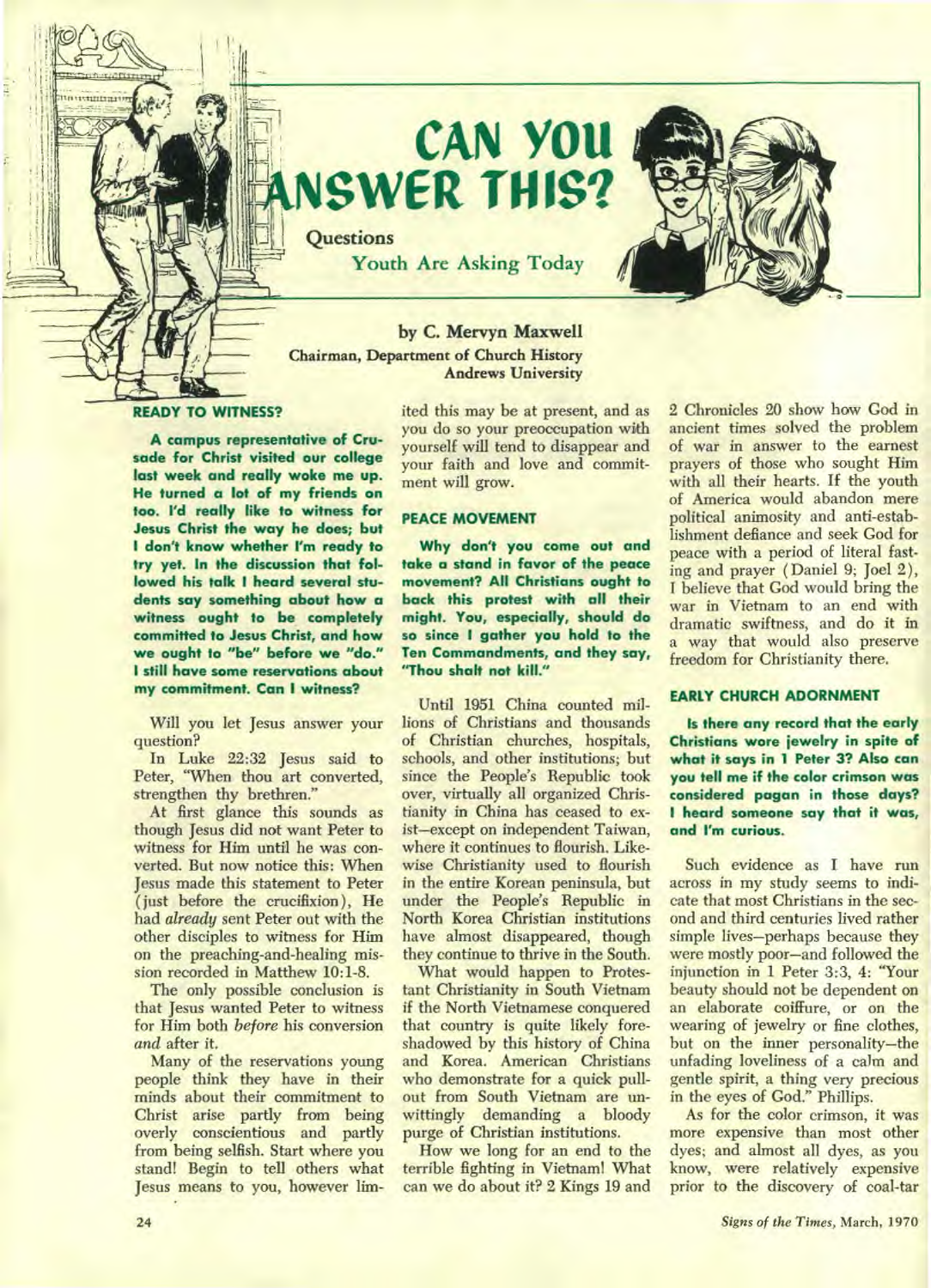

# **CAN YOU SWER THIS?**

**Youth Are Asking Today** 

## **by C. Mervyn Maxwell Chairman, Department of Church History Andrews University**

**Questions** 

#### **READY TO WITNESS?**

**A campus representative of Crusade for Christ visited our college last week and really woke me up. He turned a lot of my friends on too. I'd really like to witness for Jesus Christ the way he does; but I don't know whether I'm ready to try yet. In the discussion that followed his talk I heard several students say something about how a witness ought to be completely committed to Jesus Christ, and how we ought to "be" before we "do." I still have some reservations about my commitment. Can I witness?** 

**Will you let Jesus answer your question?** 

**In Luke 22:32 Jesus said to Peter, "When thou art converted, strengthen thy brethren."** 

**At first glance this sounds as though Jesus did not want Peter to witness for Him until he was converted. But now notice this: When Jesus made this statement to Peter ( just before the crucifixion ), He had** *already* **sent Peter out with the other disciples to witness for Him on the preaching-and-healing mission recorded in Matthew 10:1-8.** 

**The only possible conclusion is that Jesus wanted Peter to witness for Him both** *before* **his conversion**  *and* **after it.** 

**Many of the reservations young people think they have in their minds about their commitment to Christ arise partly from being overly conscientious and partly from being selfish. Start where you stand! Begin to tell others what Jesus means to you, however lim-** **ited this may be at present, and as you do so your preoccupation with yourself will tend to disappear and your faith and love and commitment will grow.** 

#### **PEACE MOVEMENT**

**Why don't you come out and take a stand in favor of the peace movement? All Christians ought to back this protest with all their might. You, especially, should do so since I gather you hold to the Ten Commandments, and they say, "Thou shalt not kill."** 

**Until 1951 China counted millions of Christians and thousands of Christian churches, hospitals, schools, and other institutions; but since the People's Republic took over, virtually all organized Christianity in China has ceased to exist—except on independent Taiwan, where it continues to flourish. Likewise Christianity used to flourish in the entire Korean peninsula, but under the People's Republic in North Korea Christian institutions have almost disappeared, though they continue to thrive in the South.** 

**What would happen to Protestant Christianity in South Vietnam if the North Vietnamese conquered that country is quite likely foreshadowed by this history of China and Korea. American Christians who demonstrate for a quick pullout from South Vietnam are unwittingly demanding a bloody purge of Christian institutions.** 

**How we long for an end to the terrible fighting in Vietnam! What can we do about it? 2 Kings 19 and**  **2 Chronicles 20 show how God in ancient times solved the problem of war in answer to the earnest prayers of those who sought Him with all their hearts. If the youth of America would abandon mere political animosity and anti-establishment defiance and seek God for peace with a period of literal fast**ing and prayer (Daniel 9; Joel 2), **I believe that God would bring the war in Vietnam to an end with dramatic swiftness, and do it in a way that would also preserve freedom for Christianity there.** 

#### **EARLY CHURCH ADORNMENT**

**Is there any record that the early Christians wore jewelry in spite of what it says in 1 Peter 3? Also can you tell me if the color crimson was considered pagan in those days? I heard someone say that it was, and I'm curious.** 

**Such evidence as I have run across in my study seems to indicate that most Christians in the second and third centuries lived rather simple lives—perhaps because they were mostly poor—and followed the injunction in 1 Peter 3:3, 4: "Your beauty should not be dependent on an elaborate coiffure, or on the wearing of jewelry or fine clothes, but on the inner personality—the**  unfading loveliness of a calm and **gentle spirit, a thing very precious in the eyes of God." Phillips.** 

**As for the color crimson, it was more expensive than most other dyes; and almost all dyes, as you know, were relatively expensive prior to the discovery of coal-tar**